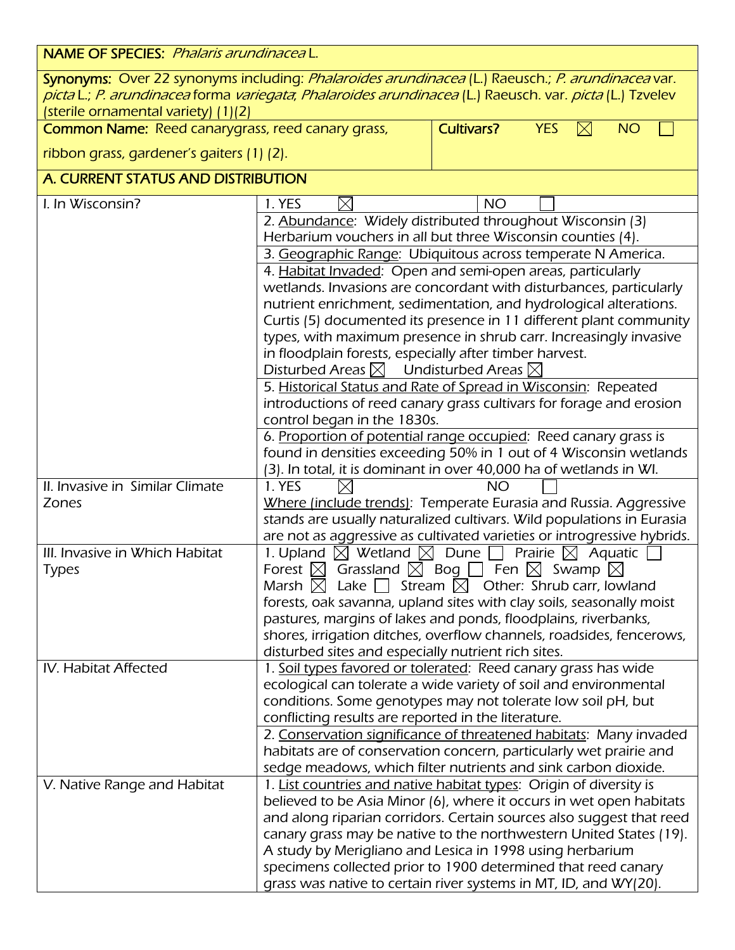| <b>NAME OF SPECIES:</b> Phalaris arundinacea L.                                                                                                                                                                                                    |                                                                                                                                            |                   |                                        |
|----------------------------------------------------------------------------------------------------------------------------------------------------------------------------------------------------------------------------------------------------|--------------------------------------------------------------------------------------------------------------------------------------------|-------------------|----------------------------------------|
| Synonyms: Over 22 synonyms including: Phalaroides arundinacea (L.) Raeusch.; P. arundinacea var.<br>picta L.; P. arundinacea forma variegata, Phalaroides arundinacea (L.) Raeusch. var. picta (L.) Tzvelev<br>(sterile ornamental variety) (1)(2) |                                                                                                                                            |                   |                                        |
| <b>Common Name: Reed canarygrass, reed canary grass,</b>                                                                                                                                                                                           |                                                                                                                                            | <b>Cultivars?</b> | <b>YES</b><br>$\boxtimes$<br><b>NO</b> |
| ribbon grass, gardener's gaiters (1) (2).                                                                                                                                                                                                          |                                                                                                                                            |                   |                                        |
| A. CURRENT STATUS AND DISTRIBUTION                                                                                                                                                                                                                 |                                                                                                                                            |                   |                                        |
| I. In Wisconsin?                                                                                                                                                                                                                                   | 1. YES<br>IX                                                                                                                               | <b>NO</b>         |                                        |
|                                                                                                                                                                                                                                                    | 2. Abundance: Widely distributed throughout Wisconsin (3)                                                                                  |                   |                                        |
|                                                                                                                                                                                                                                                    | Herbarium vouchers in all but three Wisconsin counties (4).                                                                                |                   |                                        |
|                                                                                                                                                                                                                                                    | 3. Geographic Range: Ubiquitous across temperate N America.                                                                                |                   |                                        |
|                                                                                                                                                                                                                                                    | 4. Habitat Invaded: Open and semi-open areas, particularly<br>wetlands. Invasions are concordant with disturbances, particularly           |                   |                                        |
|                                                                                                                                                                                                                                                    | nutrient enrichment, sedimentation, and hydrological alterations.                                                                          |                   |                                        |
|                                                                                                                                                                                                                                                    | Curtis (5) documented its presence in 11 different plant community                                                                         |                   |                                        |
|                                                                                                                                                                                                                                                    | types, with maximum presence in shrub carr. Increasingly invasive                                                                          |                   |                                        |
|                                                                                                                                                                                                                                                    | in floodplain forests, especially after timber harvest.                                                                                    |                   |                                        |
|                                                                                                                                                                                                                                                    | Disturbed Areas $\boxtimes$ Undisturbed Areas $\boxtimes$                                                                                  |                   |                                        |
|                                                                                                                                                                                                                                                    | 5. Historical Status and Rate of Spread in Wisconsin: Repeated                                                                             |                   |                                        |
|                                                                                                                                                                                                                                                    | introductions of reed canary grass cultivars for forage and erosion<br>control began in the 1830s.                                         |                   |                                        |
|                                                                                                                                                                                                                                                    | 6. Proportion of potential range occupied: Reed canary grass is                                                                            |                   |                                        |
|                                                                                                                                                                                                                                                    | found in densities exceeding 50% in 1 out of 4 Wisconsin wetlands                                                                          |                   |                                        |
|                                                                                                                                                                                                                                                    | (3). In total, it is dominant in over 40,000 ha of wetlands in WI.                                                                         |                   |                                        |
| II. Invasive in Similar Climate                                                                                                                                                                                                                    | 1. YES                                                                                                                                     | NΟ                |                                        |
| Zones                                                                                                                                                                                                                                              | Where (include trends): Temperate Eurasia and Russia. Aggressive                                                                           |                   |                                        |
|                                                                                                                                                                                                                                                    | stands are usually naturalized cultivars. Wild populations in Eurasia                                                                      |                   |                                        |
| III. Invasive in Which Habitat                                                                                                                                                                                                                     | are not as aggressive as cultivated varieties or introgressive hybrids.                                                                    |                   | Prairie $\boxtimes$ Aquatic            |
| <b>Types</b>                                                                                                                                                                                                                                       | 1. Upland $\boxtimes$ Wetland $\boxtimes$ Dune $\Box$<br>Forest $\boxtimes$ Grassland $\boxtimes$ Bog $\Box$ Fen $\boxtimes$ Swamp         |                   | IX                                     |
|                                                                                                                                                                                                                                                    | Marsh $\boxtimes$ Lake $\Box$ Stream $\boxtimes$ Other: Shrub carr, lowland                                                                |                   |                                        |
|                                                                                                                                                                                                                                                    | forests, oak savanna, upland sites with clay soils, seasonally moist                                                                       |                   |                                        |
|                                                                                                                                                                                                                                                    | pastures, margins of lakes and ponds, floodplains, riverbanks,                                                                             |                   |                                        |
|                                                                                                                                                                                                                                                    | shores, irrigation ditches, overflow channels, roadsides, fencerows,                                                                       |                   |                                        |
|                                                                                                                                                                                                                                                    | disturbed sites and especially nutrient rich sites.                                                                                        |                   |                                        |
| IV. Habitat Affected                                                                                                                                                                                                                               | 1. Soil types favored or tolerated: Reed canary grass has wide                                                                             |                   |                                        |
|                                                                                                                                                                                                                                                    | ecological can tolerate a wide variety of soil and environmental<br>conditions. Some genotypes may not tolerate low soil pH, but           |                   |                                        |
|                                                                                                                                                                                                                                                    | conflicting results are reported in the literature.                                                                                        |                   |                                        |
|                                                                                                                                                                                                                                                    | 2. Conservation significance of threatened habitats: Many invaded                                                                          |                   |                                        |
|                                                                                                                                                                                                                                                    | habitats are of conservation concern, particularly wet prairie and                                                                         |                   |                                        |
|                                                                                                                                                                                                                                                    | sedge meadows, which filter nutrients and sink carbon dioxide.                                                                             |                   |                                        |
| V. Native Range and Habitat                                                                                                                                                                                                                        | 1. List countries and native habitat types: Origin of diversity is                                                                         |                   |                                        |
|                                                                                                                                                                                                                                                    | believed to be Asia Minor (6), where it occurs in wet open habitats                                                                        |                   |                                        |
|                                                                                                                                                                                                                                                    | and along riparian corridors. Certain sources also suggest that reed<br>canary grass may be native to the northwestern United States (19). |                   |                                        |
|                                                                                                                                                                                                                                                    | A study by Merigliano and Lesica in 1998 using herbarium                                                                                   |                   |                                        |
|                                                                                                                                                                                                                                                    | specimens collected prior to 1900 determined that reed canary                                                                              |                   |                                        |
|                                                                                                                                                                                                                                                    | grass was native to certain river systems in MT, ID, and WY(20).                                                                           |                   |                                        |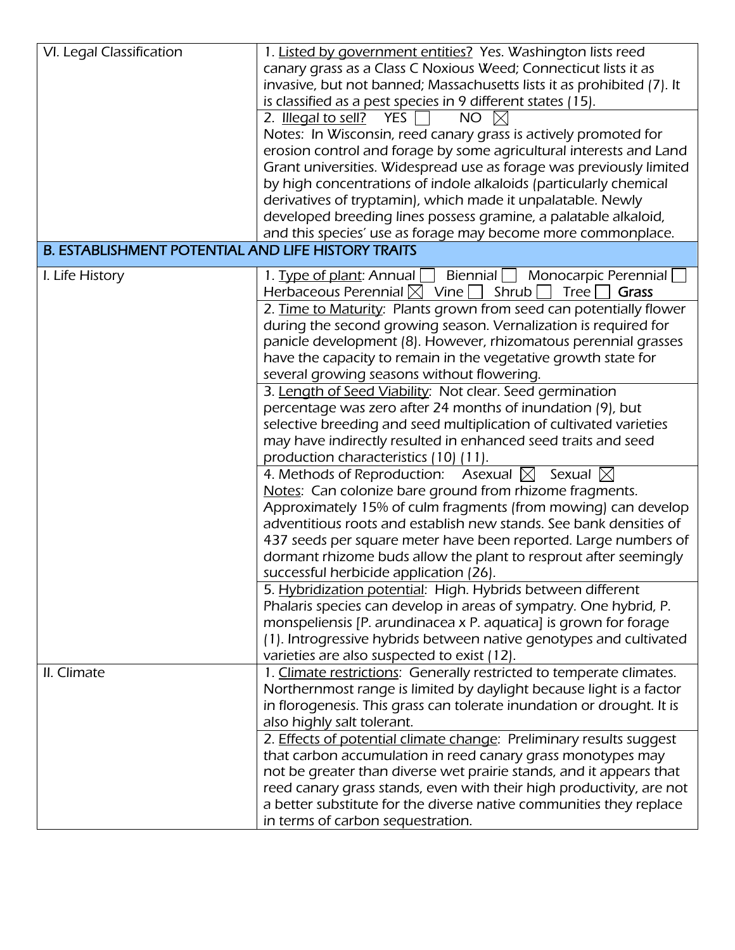| VI. Legal Classification                                  | 1. Listed by government entities? Yes. Washington lists reed<br>canary grass as a Class C Noxious Weed; Connecticut lists it as<br>invasive, but not banned; Massachusetts lists it as prohibited (7). It<br>is classified as a pest species in 9 different states (15).<br>NO<br>2. Illegal to sell? YES $\Box$<br>Notes: In Wisconsin, reed canary grass is actively promoted for<br>erosion control and forage by some agricultural interests and Land<br>Grant universities. Widespread use as forage was previously limited                                                                                                                                                                                                                                                                                                                                                                                                                                                                                                                                                                                                                                                                                                                                                                                                                                                                                                                                                                                                                            |
|-----------------------------------------------------------|-------------------------------------------------------------------------------------------------------------------------------------------------------------------------------------------------------------------------------------------------------------------------------------------------------------------------------------------------------------------------------------------------------------------------------------------------------------------------------------------------------------------------------------------------------------------------------------------------------------------------------------------------------------------------------------------------------------------------------------------------------------------------------------------------------------------------------------------------------------------------------------------------------------------------------------------------------------------------------------------------------------------------------------------------------------------------------------------------------------------------------------------------------------------------------------------------------------------------------------------------------------------------------------------------------------------------------------------------------------------------------------------------------------------------------------------------------------------------------------------------------------------------------------------------------------|
|                                                           | by high concentrations of indole alkaloids (particularly chemical<br>derivatives of tryptamin), which made it unpalatable. Newly<br>developed breeding lines possess gramine, a palatable alkaloid,<br>and this species' use as forage may become more commonplace.                                                                                                                                                                                                                                                                                                                                                                                                                                                                                                                                                                                                                                                                                                                                                                                                                                                                                                                                                                                                                                                                                                                                                                                                                                                                                         |
| <b>B. ESTABLISHMENT POTENTIAL AND LIFE HISTORY TRAITS</b> |                                                                                                                                                                                                                                                                                                                                                                                                                                                                                                                                                                                                                                                                                                                                                                                                                                                                                                                                                                                                                                                                                                                                                                                                                                                                                                                                                                                                                                                                                                                                                             |
| I. Life History                                           | 1. Type of plant: Annual Biennial Monocarpic Perennial<br>Herbaceous Perennial $\boxtimes$ Vine $\Box$ Shrub<br>Tree  <br>Grass<br>2. Time to Maturity: Plants grown from seed can potentially flower<br>during the second growing season. Vernalization is required for<br>panicle development (8). However, rhizomatous perennial grasses<br>have the capacity to remain in the vegetative growth state for<br>several growing seasons without flowering.<br>3. Length of Seed Viability: Not clear. Seed germination<br>percentage was zero after 24 months of inundation (9), but<br>selective breeding and seed multiplication of cultivated varieties<br>may have indirectly resulted in enhanced seed traits and seed<br>production characteristics (10) (11).<br>4. Methods of Reproduction: Asexual $\boxtimes$ Sexual $\boxtimes$<br>Notes: Can colonize bare ground from rhizome fragments.<br>Approximately 15% of culm fragments (from mowing) can develop<br>adventitious roots and establish new stands. See bank densities of<br>437 seeds per square meter have been reported. Large numbers of<br>dormant rhizome buds allow the plant to resprout after seemingly<br>successful herbicide application (26).<br>5. Hybridization potential: High. Hybrids between different<br>Phalaris species can develop in areas of sympatry. One hybrid, P.<br>monspeliensis [P. arundinacea x P. aquatica] is grown for forage<br>(1). Introgressive hybrids between native genotypes and cultivated<br>varieties are also suspected to exist (12). |
| II. Climate                                               | 1. Climate restrictions: Generally restricted to temperate climates.<br>Northernmost range is limited by daylight because light is a factor<br>in florogenesis. This grass can tolerate inundation or drought. It is<br>also highly salt tolerant.<br>2. Effects of potential climate change: Preliminary results suggest<br>that carbon accumulation in reed canary grass monotypes may<br>not be greater than diverse wet prairie stands, and it appears that<br>reed canary grass stands, even with their high productivity, are not<br>a better substitute for the diverse native communities they replace<br>in terms of carbon sequestration.                                                                                                                                                                                                                                                                                                                                                                                                                                                                                                                                                                                                                                                                                                                                                                                                                                                                                                         |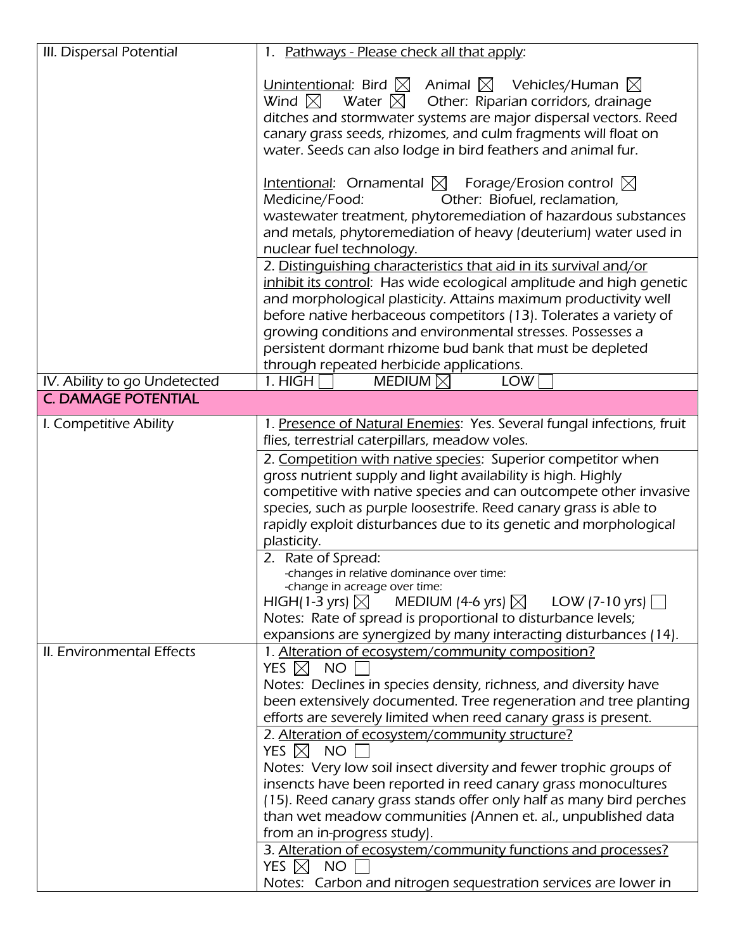| III. Dispersal Potential     | 1. Pathways - Please check all that apply:                                                                                                                                                                                                                                                                                                                                                                                                                                                                                                                                                                                                                                                                                                                                                                                                    |
|------------------------------|-----------------------------------------------------------------------------------------------------------------------------------------------------------------------------------------------------------------------------------------------------------------------------------------------------------------------------------------------------------------------------------------------------------------------------------------------------------------------------------------------------------------------------------------------------------------------------------------------------------------------------------------------------------------------------------------------------------------------------------------------------------------------------------------------------------------------------------------------|
|                              | Unintentional: Bird $\boxtimes$ Animal $\boxtimes$ Vehicles/Human $\boxtimes$<br>Water $\boxtimes$ Other: Riparian corridors, drainage<br>Wind $\boxtimes$<br>ditches and stormwater systems are major dispersal vectors. Reed<br>canary grass seeds, rhizomes, and culm fragments will float on<br>water. Seeds can also lodge in bird feathers and animal fur.                                                                                                                                                                                                                                                                                                                                                                                                                                                                              |
|                              | Intentional: Ornamental $\boxtimes$ Forage/Erosion control $\boxtimes$<br>Other: Biofuel, reclamation,<br>Medicine/Food:<br>wastewater treatment, phytoremediation of hazardous substances<br>and metals, phytoremediation of heavy (deuterium) water used in<br>nuclear fuel technology.                                                                                                                                                                                                                                                                                                                                                                                                                                                                                                                                                     |
|                              | 2. Distinguishing characteristics that aid in its survival and/or<br>inhibit its control: Has wide ecological amplitude and high genetic<br>and morphological plasticity. Attains maximum productivity well<br>before native herbaceous competitors (13). Tolerates a variety of<br>growing conditions and environmental stresses. Possesses a<br>persistent dormant rhizome bud bank that must be depleted<br>through repeated herbicide applications.                                                                                                                                                                                                                                                                                                                                                                                       |
| IV. Ability to go Undetected | 1. HIGH<br>MEDIUM $\boxtimes$<br><b>LOW</b>                                                                                                                                                                                                                                                                                                                                                                                                                                                                                                                                                                                                                                                                                                                                                                                                   |
| <b>C. DAMAGE POTENTIAL</b>   |                                                                                                                                                                                                                                                                                                                                                                                                                                                                                                                                                                                                                                                                                                                                                                                                                                               |
| I. Competitive Ability       | 1. Presence of Natural Enemies: Yes. Several fungal infections, fruit<br>flies, terrestrial caterpillars, meadow voles.<br>2. Competition with native species: Superior competitor when<br>gross nutrient supply and light availability is high. Highly<br>competitive with native species and can outcompete other invasive<br>species, such as purple loosestrife. Reed canary grass is able to<br>rapidly exploit disturbances due to its genetic and morphological<br>plasticity.<br>2. Rate of Spread:<br>-changes in relative dominance over time:<br>-change in acreage over time:<br>HIGH(1-3 yrs) $\boxtimes$ MEDIUM (4-6 yrs) $\boxtimes$ LOW (7-10 yrs) $\Box$<br>Notes: Rate of spread is proportional to disturbance levels;<br>expansions are synergized by many interacting disturbances (14).                                 |
| II. Environmental Effects    | 1. Alteration of ecosystem/community composition?<br>YES $\boxtimes$<br>NO<br>Notes: Declines in species density, richness, and diversity have<br>been extensively documented. Tree regeneration and tree planting<br>efforts are severely limited when reed canary grass is present.<br>2. Alteration of ecosystem/community structure?<br>YES $\boxtimes$ NO<br>Notes: Very low soil insect diversity and fewer trophic groups of<br>insencts have been reported in reed canary grass monocultures<br>(15). Reed canary grass stands offer only half as many bird perches<br>than wet meadow communities (Annen et. al., unpublished data<br>from an in-progress study).<br>3. Alteration of ecosystem/community functions and processes?<br>YES $\boxtimes$<br><b>NO</b><br>Notes: Carbon and nitrogen sequestration services are lower in |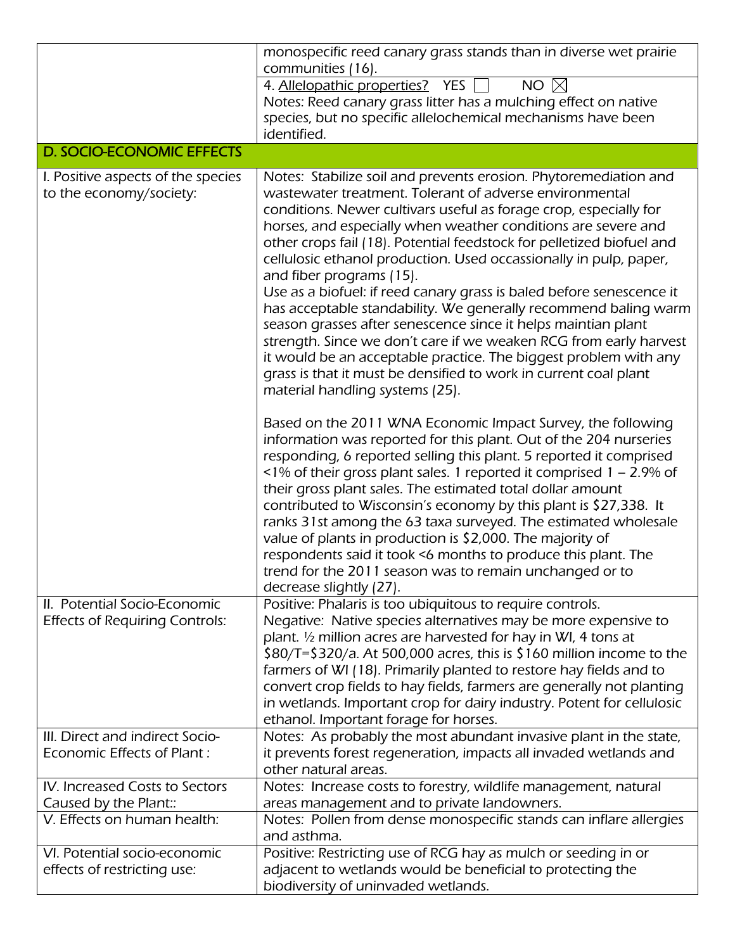|                                                                       | monospecific reed canary grass stands than in diverse wet prairie<br>communities (16).                                                                                                                                                                                                                                                                                                                                                                                                                                                                                                                                                                                                                                                                                                                                                                                                                  |
|-----------------------------------------------------------------------|---------------------------------------------------------------------------------------------------------------------------------------------------------------------------------------------------------------------------------------------------------------------------------------------------------------------------------------------------------------------------------------------------------------------------------------------------------------------------------------------------------------------------------------------------------------------------------------------------------------------------------------------------------------------------------------------------------------------------------------------------------------------------------------------------------------------------------------------------------------------------------------------------------|
|                                                                       | 4. Allelopathic properties? YES<br>NO $\boxtimes$<br>Notes: Reed canary grass litter has a mulching effect on native<br>species, but no specific allelochemical mechanisms have been<br>identified.                                                                                                                                                                                                                                                                                                                                                                                                                                                                                                                                                                                                                                                                                                     |
| <b>D. SOCIO-ECONOMIC EFFECTS</b>                                      |                                                                                                                                                                                                                                                                                                                                                                                                                                                                                                                                                                                                                                                                                                                                                                                                                                                                                                         |
| I. Positive aspects of the species<br>to the economy/society:         | Notes: Stabilize soil and prevents erosion. Phytoremediation and<br>wastewater treatment. Tolerant of adverse environmental<br>conditions. Newer cultivars useful as forage crop, especially for<br>horses, and especially when weather conditions are severe and<br>other crops fail (18). Potential feedstock for pelletized biofuel and<br>cellulosic ethanol production. Used occassionally in pulp, paper,<br>and fiber programs (15).<br>Use as a biofuel: if reed canary grass is baled before senescence it<br>has acceptable standability. We generally recommend baling warm<br>season grasses after senescence since it helps maintian plant<br>strength. Since we don't care if we weaken RCG from early harvest<br>it would be an acceptable practice. The biggest problem with any<br>grass is that it must be densified to work in current coal plant<br>material handling systems (25). |
|                                                                       | Based on the 2011 WNA Economic Impact Survey, the following<br>information was reported for this plant. Out of the 204 nurseries<br>responding, 6 reported selling this plant. 5 reported it comprised<br><1% of their gross plant sales. 1 reported it comprised 1 - 2.9% of<br>their gross plant sales. The estimated total dollar amount<br>contributed to Wisconsin's economy by this plant is \$27,338. It<br>ranks 31st among the 63 taxa surveyed. The estimated wholesale<br>value of plants in production is \$2,000. The majority of<br>respondents said it took <6 months to produce this plant. The<br>trend for the 2011 season was to remain unchanged or to<br>decrease slightly (27).                                                                                                                                                                                                   |
| II. Potential Socio-Economic<br><b>Effects of Requiring Controls:</b> | Positive: Phalaris is too ubiquitous to require controls.<br>Negative: Native species alternatives may be more expensive to<br>plant. 1/2 million acres are harvested for hay in WI, 4 tons at<br>$$80/T = $320/a$ . At 500,000 acres, this is \$160 million income to the<br>farmers of WI (18). Primarily planted to restore hay fields and to<br>convert crop fields to hay fields, farmers are generally not planting<br>in wetlands. Important crop for dairy industry. Potent for cellulosic<br>ethanol. Important forage for horses.                                                                                                                                                                                                                                                                                                                                                             |
| III. Direct and indirect Socio-<br>Economic Effects of Plant:         | Notes: As probably the most abundant invasive plant in the state,<br>it prevents forest regeneration, impacts all invaded wetlands and<br>other natural areas.                                                                                                                                                                                                                                                                                                                                                                                                                                                                                                                                                                                                                                                                                                                                          |
| IV. Increased Costs to Sectors<br>Caused by the Plant::               | Notes: Increase costs to forestry, wildlife management, natural<br>areas management and to private landowners.                                                                                                                                                                                                                                                                                                                                                                                                                                                                                                                                                                                                                                                                                                                                                                                          |
| V. Effects on human health:                                           | Notes: Pollen from dense monospecific stands can inflare allergies<br>and asthma.                                                                                                                                                                                                                                                                                                                                                                                                                                                                                                                                                                                                                                                                                                                                                                                                                       |
| VI. Potential socio-economic<br>effects of restricting use:           | Positive: Restricting use of RCG hay as mulch or seeding in or<br>adjacent to wetlands would be beneficial to protecting the<br>biodiversity of uninvaded wetlands.                                                                                                                                                                                                                                                                                                                                                                                                                                                                                                                                                                                                                                                                                                                                     |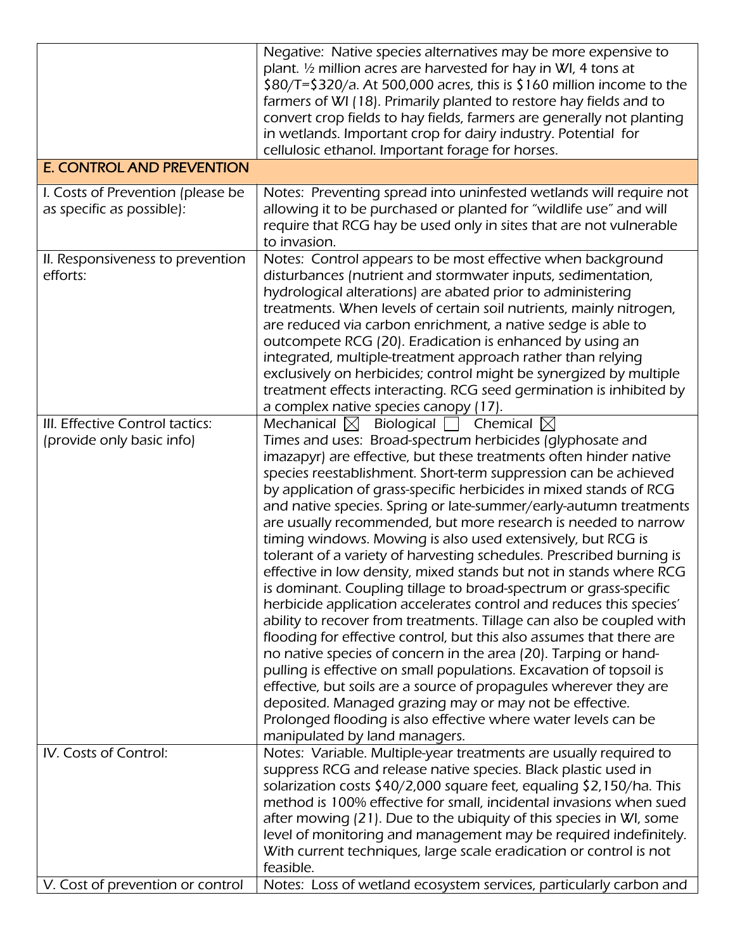|                                                                | Negative: Native species alternatives may be more expensive to<br>plant. 1/2 million acres are harvested for hay in WI, 4 tons at<br>\$80/T=\$320/a. At 500,000 acres, this is \$160 million income to the<br>farmers of WI (18). Primarily planted to restore hay fields and to<br>convert crop fields to hay fields, farmers are generally not planting<br>in wetlands. Important crop for dairy industry. Potential for<br>cellulosic ethanol. Important forage for horses.                                                                                                                                                                                                                                                                                                                                                                                                                                                                                                                                                                                                                                                                                                                                                                                                                                                                                            |
|----------------------------------------------------------------|---------------------------------------------------------------------------------------------------------------------------------------------------------------------------------------------------------------------------------------------------------------------------------------------------------------------------------------------------------------------------------------------------------------------------------------------------------------------------------------------------------------------------------------------------------------------------------------------------------------------------------------------------------------------------------------------------------------------------------------------------------------------------------------------------------------------------------------------------------------------------------------------------------------------------------------------------------------------------------------------------------------------------------------------------------------------------------------------------------------------------------------------------------------------------------------------------------------------------------------------------------------------------------------------------------------------------------------------------------------------------|
| <b>E. CONTROL AND PREVENTION</b>                               |                                                                                                                                                                                                                                                                                                                                                                                                                                                                                                                                                                                                                                                                                                                                                                                                                                                                                                                                                                                                                                                                                                                                                                                                                                                                                                                                                                           |
| I. Costs of Prevention (please be<br>as specific as possible): | Notes: Preventing spread into uninfested wetlands will require not<br>allowing it to be purchased or planted for "wildlife use" and will<br>require that RCG hay be used only in sites that are not vulnerable<br>to invasion.                                                                                                                                                                                                                                                                                                                                                                                                                                                                                                                                                                                                                                                                                                                                                                                                                                                                                                                                                                                                                                                                                                                                            |
| II. Responsiveness to prevention<br>efforts:                   | Notes: Control appears to be most effective when background<br>disturbances (nutrient and stormwater inputs, sedimentation,<br>hydrological alterations) are abated prior to administering<br>treatments. When levels of certain soil nutrients, mainly nitrogen,<br>are reduced via carbon enrichment, a native sedge is able to<br>outcompete RCG (20). Eradication is enhanced by using an<br>integrated, multiple-treatment approach rather than relying<br>exclusively on herbicides; control might be synergized by multiple<br>treatment effects interacting. RCG seed germination is inhibited by<br>a complex native species canopy (17).                                                                                                                                                                                                                                                                                                                                                                                                                                                                                                                                                                                                                                                                                                                        |
| III. Effective Control tactics:<br>(provide only basic info)   | Mechanical $\boxtimes$ Biological<br>$\mid$ -Chemical $\boxtimes$<br>Times and uses: Broad-spectrum herbicides (glyphosate and<br>imazapyr) are effective, but these treatments often hinder native<br>species reestablishment. Short-term suppression can be achieved<br>by application of grass-specific herbicides in mixed stands of RCG<br>and native species. Spring or late-summer/early-autumn treatments<br>are usually recommended, but more research is needed to narrow<br>timing windows. Mowing is also used extensively, but RCG is<br>tolerant of a variety of harvesting schedules. Prescribed burning is<br>effective in low density, mixed stands but not in stands where RCG<br>is dominant. Coupling tillage to broad-spectrum or grass-specific<br>herbicide application accelerates control and reduces this species'<br>ability to recover from treatments. Tillage can also be coupled with<br>flooding for effective control, but this also assumes that there are<br>no native species of concern in the area (20). Tarping or hand-<br>pulling is effective on small populations. Excavation of topsoil is<br>effective, but soils are a source of propagules wherever they are<br>deposited. Managed grazing may or may not be effective.<br>Prolonged flooding is also effective where water levels can be<br>manipulated by land managers. |
| IV. Costs of Control:                                          | Notes: Variable. Multiple-year treatments are usually required to<br>suppress RCG and release native species. Black plastic used in<br>solarization costs \$40/2,000 square feet, equaling \$2,150/ha. This<br>method is 100% effective for small, incidental invasions when sued<br>after mowing (21). Due to the ubiquity of this species in WI, some<br>level of monitoring and management may be required indefinitely.<br>With current techniques, large scale eradication or control is not                                                                                                                                                                                                                                                                                                                                                                                                                                                                                                                                                                                                                                                                                                                                                                                                                                                                         |
| V. Cost of prevention or control                               | feasible.<br>Notes: Loss of wetland ecosystem services, particularly carbon and                                                                                                                                                                                                                                                                                                                                                                                                                                                                                                                                                                                                                                                                                                                                                                                                                                                                                                                                                                                                                                                                                                                                                                                                                                                                                           |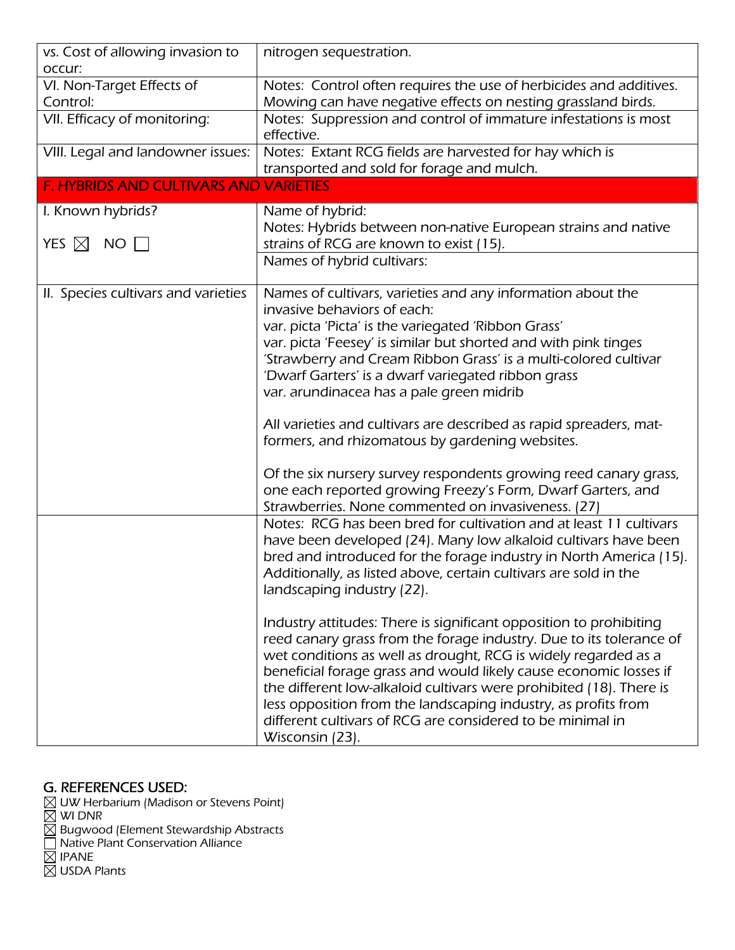| vs. Cost of allowing invasion to<br>occur:        | nitrogen sequestration.                                                                                                                                                                                                                                                                                                                                                                                                                                                                                                                                                                                                                                                                                                                                                                                                                                                                                                                                                                                                      |
|---------------------------------------------------|------------------------------------------------------------------------------------------------------------------------------------------------------------------------------------------------------------------------------------------------------------------------------------------------------------------------------------------------------------------------------------------------------------------------------------------------------------------------------------------------------------------------------------------------------------------------------------------------------------------------------------------------------------------------------------------------------------------------------------------------------------------------------------------------------------------------------------------------------------------------------------------------------------------------------------------------------------------------------------------------------------------------------|
| VI. Non-Target Effects of<br>Control:             | Notes: Control often requires the use of herbicides and additives.<br>Mowing can have negative effects on nesting grassland birds.                                                                                                                                                                                                                                                                                                                                                                                                                                                                                                                                                                                                                                                                                                                                                                                                                                                                                           |
| VII. Efficacy of monitoring:                      | Notes: Suppression and control of immature infestations is most<br>effective.                                                                                                                                                                                                                                                                                                                                                                                                                                                                                                                                                                                                                                                                                                                                                                                                                                                                                                                                                |
| VIII. Legal and landowner issues:                 | Notes: Extant RCG fields are harvested for hay which is<br>transported and sold for forage and mulch.                                                                                                                                                                                                                                                                                                                                                                                                                                                                                                                                                                                                                                                                                                                                                                                                                                                                                                                        |
| <b>F. HYBRIDS AND CULTIVARS AND VARIETIES</b>     |                                                                                                                                                                                                                                                                                                                                                                                                                                                                                                                                                                                                                                                                                                                                                                                                                                                                                                                                                                                                                              |
| I. Known hybrids?<br>YES $\boxtimes$<br><b>NO</b> | Name of hybrid:<br>Notes: Hybrids between non-native European strains and native<br>strains of RCG are known to exist (15).                                                                                                                                                                                                                                                                                                                                                                                                                                                                                                                                                                                                                                                                                                                                                                                                                                                                                                  |
|                                                   | Names of hybrid cultivars:                                                                                                                                                                                                                                                                                                                                                                                                                                                                                                                                                                                                                                                                                                                                                                                                                                                                                                                                                                                                   |
| II. Species cultivars and varieties               | Names of cultivars, varieties and any information about the<br>invasive behaviors of each:<br>var. picta 'Picta' is the variegated 'Ribbon Grass'<br>var. picta 'Feesey' is similar but shorted and with pink tinges<br>'Strawberry and Cream Ribbon Grass' is a multi-colored cultivar<br>'Dwarf Garters' is a dwarf variegated ribbon grass<br>var. arundinacea has a pale green midrib<br>All varieties and cultivars are described as rapid spreaders, mat-<br>formers, and rhizomatous by gardening websites.<br>Of the six nursery survey respondents growing reed canary grass,<br>one each reported growing Freezy's Form, Dwarf Garters, and<br>Strawberries. None commented on invasiveness. (27)<br>Notes: RCG has been bred for cultivation and at least 11 cultivars<br>have been developed (24). Many low alkaloid cultivars have been<br>bred and introduced for the forage industry in North America (15).<br>Additionally, as listed above, certain cultivars are sold in the<br>landscaping industry (22). |
|                                                   | Industry attitudes: There is significant opposition to prohibiting<br>reed canary grass from the forage industry. Due to its tolerance of<br>wet conditions as well as drought, RCG is widely regarded as a<br>beneficial forage grass and would likely cause economic losses if<br>the different low-alkaloid cultivars were prohibited (18). There is<br>less opposition from the landscaping industry, as profits from<br>different cultivars of RCG are considered to be minimal in<br>Wisconsin (23).                                                                                                                                                                                                                                                                                                                                                                                                                                                                                                                   |

## G. REFERENCES USED:

 UW Herbarium (Madison or Stevens Point) WI DNR Bugwood (Element Stewardship Abstracts Native Plant Conservation Alliance IPANE USDA Plants